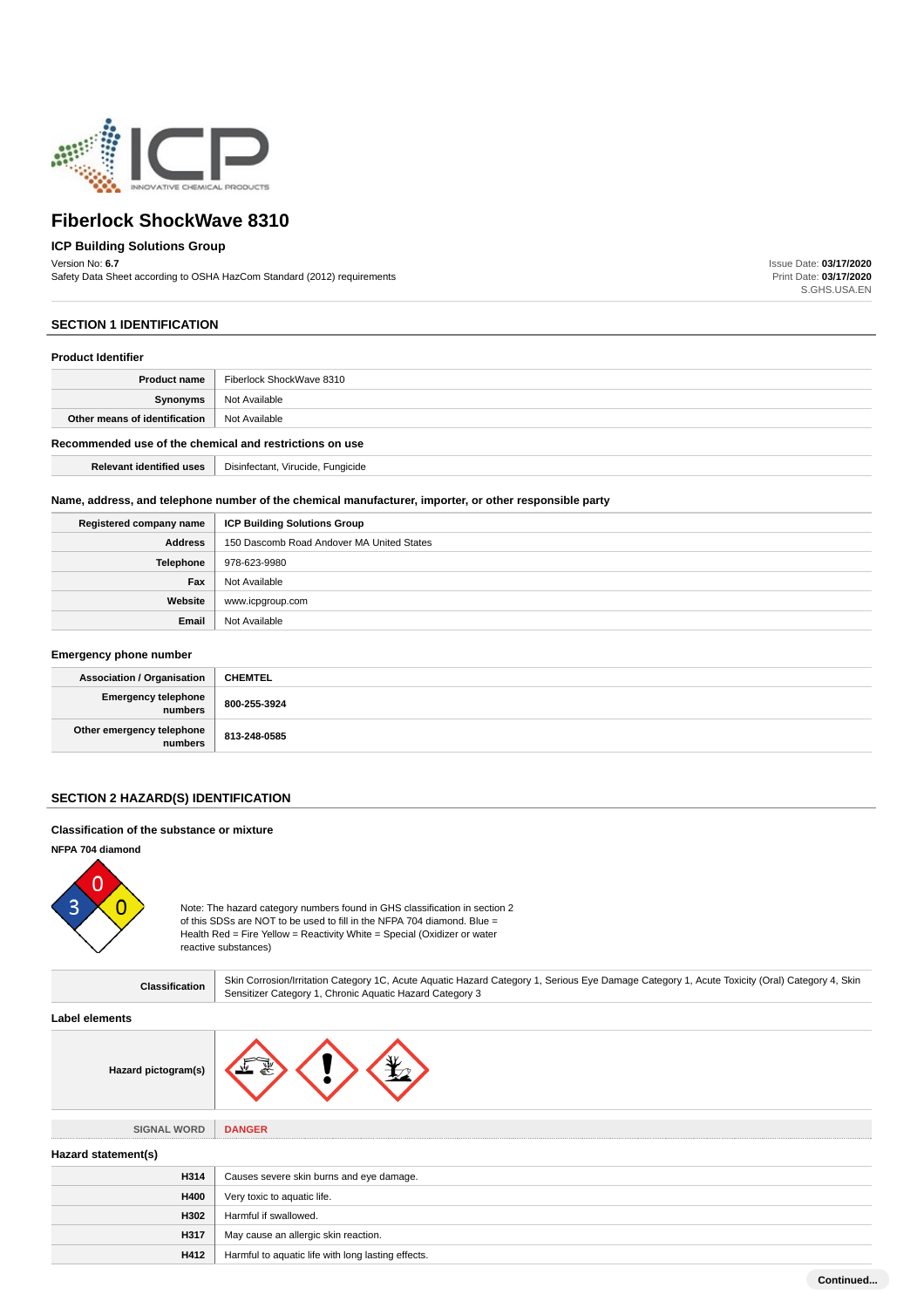

# **ICP Building Solutions Group**

Version No: **6.7**

Safety Data Sheet according to OSHA HazCom Standard (2012) requirements

Issue Date: **03/17/2020** Print Date: **03/17/2020** S.GHS.USA.EN

## **SECTION 1 IDENTIFICATION**

#### **Product Identifier**

| <b>Product name</b>                                     | Fiberlock ShockWave 8310          |
|---------------------------------------------------------|-----------------------------------|
| Synonyms                                                | Not Available                     |
| Other means of identification                           | Not Available                     |
| Recommended use of the chemical and restrictions on use |                                   |
| <b>Relevant identified uses</b>                         | Disinfectant, Virucide, Fungicide |

#### **Name, address, and telephone number of the chemical manufacturer, importer, or other responsible party**

| Registered company name | <b>ICP Building Solutions Group</b>       |  |
|-------------------------|-------------------------------------------|--|
| <b>Address</b>          | 150 Dascomb Road Andover MA United States |  |
| Telephone               | 978-623-9980                              |  |
| Fax                     | Not Available                             |  |
| Website                 | www.icpgroup.com                          |  |
| Email                   | Not Available                             |  |

## **Emergency phone number**

| <b>Association / Organisation</b>    | <b>CHEMTEL</b> |
|--------------------------------------|----------------|
| Emergency telephone<br>  numbers     | 800-255-3924   |
| Other emergency telephone<br>numbers | 813-248-0585   |

## **SECTION 2 HAZARD(S) IDENTIFICATION**

## **Classification of the substance or mixture**

#### **NFPA 704 diamond**



Note: The hazard category numbers found in GHS classification in section 2 of this SDSs are NOT to be used to fill in the NFPA 704 diamond. Blue = Health Red = Fire Yellow = Reactivity White = Special (Oxidizer or water reactive substances)

| Classification      | Skin Corrosion/Irritation Category 1C, Acute Aquatic Hazard Category 1, Serious Eye Damage Category 1, Acute Toxicity (Oral) Category 4, Skin<br>Sensitizer Category 1, Chronic Aquatic Hazard Category 3 |  |
|---------------------|-----------------------------------------------------------------------------------------------------------------------------------------------------------------------------------------------------------|--|
| Label elements      |                                                                                                                                                                                                           |  |
| Hazard pictogram(s) |                                                                                                                                                                                                           |  |
|                     |                                                                                                                                                                                                           |  |
| <b>SIGNAL WORD</b>  | <b>DANGER</b>                                                                                                                                                                                             |  |
| Hazard statement(s) |                                                                                                                                                                                                           |  |
| H314                | Causes severe skin burns and eye damage.                                                                                                                                                                  |  |
| H400                | Very toxic to aquatic life.                                                                                                                                                                               |  |
| H302                | Harmful if swallowed.                                                                                                                                                                                     |  |
| H317                | May cause an allergic skin reaction.                                                                                                                                                                      |  |
| H412                | Harmful to aquatic life with long lasting effects.                                                                                                                                                        |  |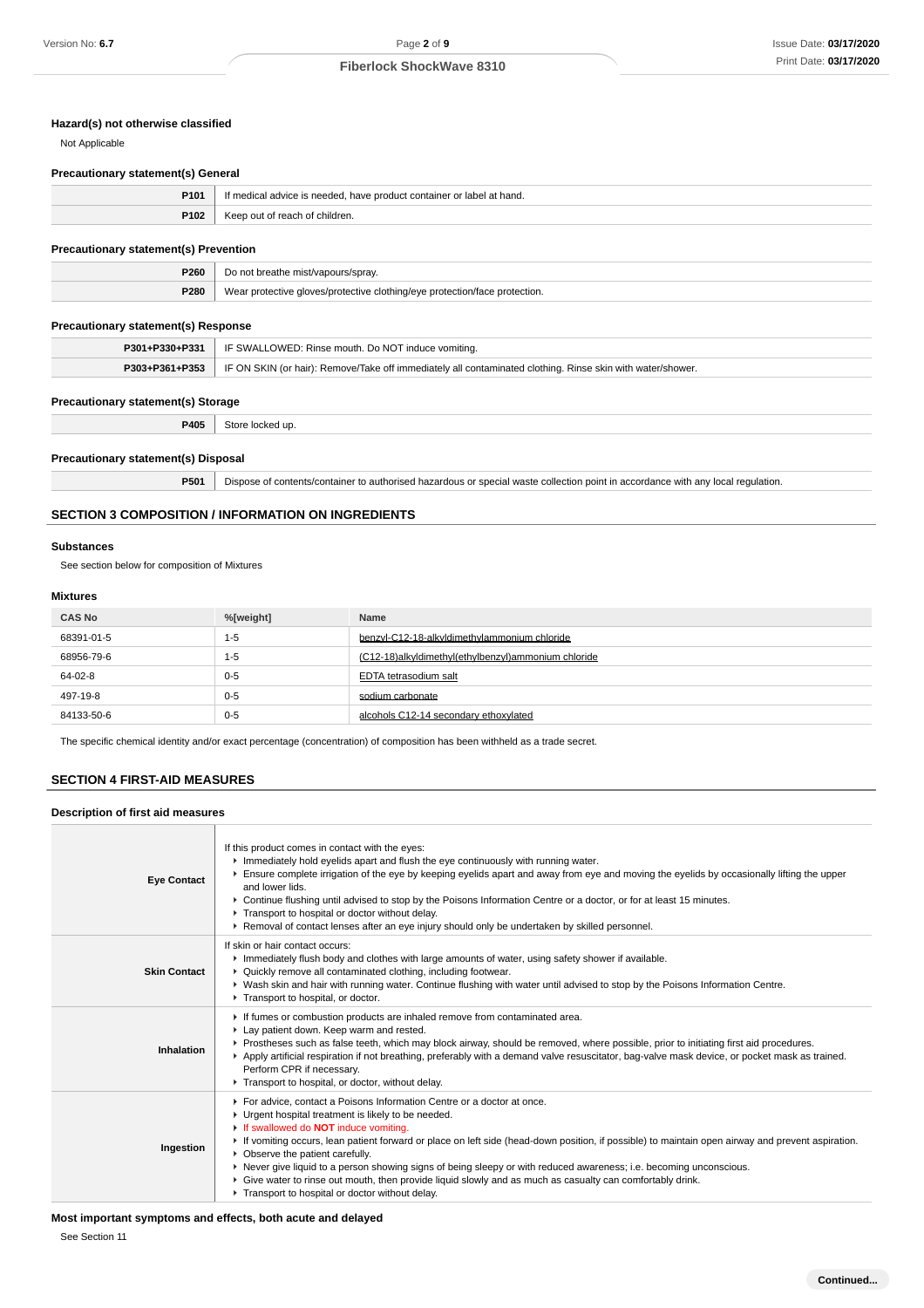# **Hazard(s) not otherwise classified**

Not Applicable

#### **Precautionary statement(s) General**

| P <sub>101</sub> | r label at hand.<br>If medical advice is needed, have product container or label, |  |
|------------------|-----------------------------------------------------------------------------------|--|
| P102             | Keep out of reach of children.                                                    |  |

## **Precautionary statement(s) Prevention**

| <b>P260</b> | mis                                                                                                            |  |
|-------------|----------------------------------------------------------------------------------------------------------------|--|
| P280        | We.<br>otection.<br>alothing loug<br>_alovec/protectiv<br>nroter<br>.<br>$\sim$ 1<br>$\qquad \qquad -1.5$<br>. |  |

## **Precautionary statement(s) Response**

| P301+P330+P331 | IF SWALLOWED: Rinse mouth. Do NOT induce vomiting.                                                         |  |
|----------------|------------------------------------------------------------------------------------------------------------|--|
| P303+P361+P353 | IF ON SKIN (or hair): Remove/Take off immediately all contaminated clothing. Rinse skin with water/shower. |  |

#### **Precautionary statement(s) Storage**

**P405** Store locked up.

#### **Precautionary statement(s) Disposal**

**P501** Dispose of contents/container to authorised hazardous or special waste collection point in accordance with any local regulation.

## **SECTION 3 COMPOSITION / INFORMATION ON INGREDIENTS**

#### **Substances**

See section below for composition of Mixtures

## **Mixtures**

| <b>CAS No</b> | %[weight] | Name                                                |
|---------------|-----------|-----------------------------------------------------|
| 68391-01-5    | 1-5       | benzyl-C12-18-alkyldimethylammonium chloride        |
| 68956-79-6    | 1-5       | (C12-18)alkyldimethyl(ethylbenzyl)ammonium chloride |
| 64-02-8       | $0 - 5$   | EDTA tetrasodium salt                               |
| 497-19-8      | $0 - 5$   | sodium carbonate                                    |
| 84133-50-6    | $0 - 5$   | alcohols C12-14 secondary ethoxylated               |

The specific chemical identity and/or exact percentage (concentration) of composition has been withheld as a trade secret.

## **SECTION 4 FIRST-AID MEASURES**

#### **Description of first aid measures**

| <b>Eye Contact</b>  | If this product comes in contact with the eyes:<br>Immediately hold eyelids apart and flush the eye continuously with running water.<br>Ensure complete irrigation of the eye by keeping eyelids apart and away from eye and moving the eyelids by occasionally lifting the upper<br>and lower lids.<br>▶ Continue flushing until advised to stop by the Poisons Information Centre or a doctor, or for at least 15 minutes.<br>Transport to hospital or doctor without delay.<br>▶ Removal of contact lenses after an eye injury should only be undertaken by skilled personnel.                                                                          |
|---------------------|------------------------------------------------------------------------------------------------------------------------------------------------------------------------------------------------------------------------------------------------------------------------------------------------------------------------------------------------------------------------------------------------------------------------------------------------------------------------------------------------------------------------------------------------------------------------------------------------------------------------------------------------------------|
| <b>Skin Contact</b> | If skin or hair contact occurs:<br>Immediately flush body and clothes with large amounts of water, using safety shower if available.<br>• Quickly remove all contaminated clothing, including footwear.<br>▶ Wash skin and hair with running water. Continue flushing with water until advised to stop by the Poisons Information Centre.<br>Transport to hospital, or doctor.                                                                                                                                                                                                                                                                             |
| Inhalation          | If fumes or combustion products are inhaled remove from contaminated area.<br>Lay patient down. Keep warm and rested.<br>Prostheses such as false teeth, which may block airway, should be removed, where possible, prior to initiating first aid procedures.<br>▶ Apply artificial respiration if not breathing, preferably with a demand valve resuscitator, bag-valve mask device, or pocket mask as trained.<br>Perform CPR if necessary.<br>Transport to hospital, or doctor, without delay.                                                                                                                                                          |
| Ingestion           | For advice, contact a Poisons Information Centre or a doctor at once.<br>• Urgent hospital treatment is likely to be needed.<br>If swallowed do <b>NOT</b> induce vomiting.<br>If vomiting occurs, lean patient forward or place on left side (head-down position, if possible) to maintain open airway and prevent aspiration.<br>• Observe the patient carefully.<br>▶ Never give liquid to a person showing signs of being sleepy or with reduced awareness; i.e. becoming unconscious.<br>► Give water to rinse out mouth, then provide liquid slowly and as much as casualty can comfortably drink.<br>Transport to hospital or doctor without delay. |

**Most important symptoms and effects, both acute and delayed**

See Section 11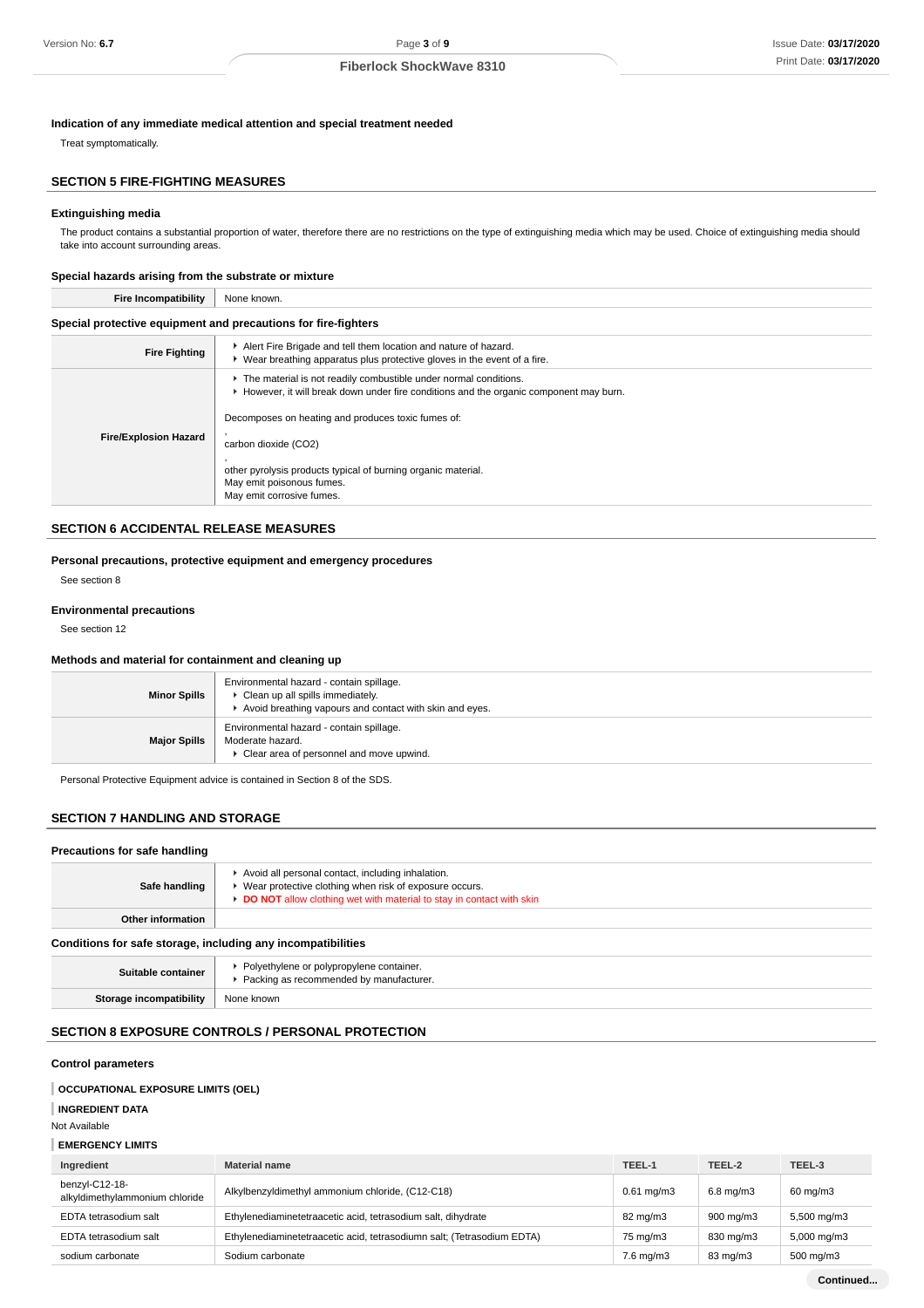#### **Indication of any immediate medical attention and special treatment needed**

Treat symptomatically.

## **SECTION 5 FIRE-FIGHTING MEASURES**

#### **Extinguishing media**

The product contains a substantial proportion of water, therefore there are no restrictions on the type of extinguishing media which may be used. Choice of extinguishing media should take into account surrounding areas.

#### **Special hazards arising from the substrate or mixture**

| <b>Fire Incompatibility</b>                                    | None known.                                                                                                                                                 |  |
|----------------------------------------------------------------|-------------------------------------------------------------------------------------------------------------------------------------------------------------|--|
| Special protective equipment and precautions for fire-fighters |                                                                                                                                                             |  |
| <b>Fire Fighting</b>                                           | Alert Fire Brigade and tell them location and nature of hazard.<br>$\triangleright$ Wear breathing apparatus plus protective gloves in the event of a fire. |  |
|                                                                | The material is not readily combustible under normal conditions.<br>► However, it will break down under fire conditions and the organic component may burn. |  |
| <b>Fire/Explosion Hazard</b>                                   | Decomposes on heating and produces toxic fumes of:<br>carbon dioxide (CO2)                                                                                  |  |
|                                                                | other pyrolysis products typical of burning organic material.<br>May emit poisonous fumes.<br>May emit corrosive fumes.                                     |  |

#### **SECTION 6 ACCIDENTAL RELEASE MEASURES**

#### **Personal precautions, protective equipment and emergency procedures**

See section 8

#### **Environmental precautions**

See section 12

## **Methods and material for containment and cleaning up**

| <b>Minor Spills</b> | Environmental hazard - contain spillage.<br>▶ Clean up all spills immediately.<br>Avoid breathing vapours and contact with skin and eyes. |
|---------------------|-------------------------------------------------------------------------------------------------------------------------------------------|
| <b>Major Spills</b> | Environmental hazard - contain spillage.<br>Moderate hazard.<br>Clear area of personnel and move upwind.                                  |

Personal Protective Equipment advice is contained in Section 8 of the SDS.

#### **SECTION 7 HANDLING AND STORAGE**

| Precautions for safe handling                                |                                                                                                                                                                                       |  |  |
|--------------------------------------------------------------|---------------------------------------------------------------------------------------------------------------------------------------------------------------------------------------|--|--|
| Safe handling                                                | Avoid all personal contact, including inhalation.<br>▶ Wear protective clothing when risk of exposure occurs.<br>DO NOT allow clothing wet with material to stay in contact with skin |  |  |
| Other information                                            |                                                                                                                                                                                       |  |  |
| Conditions for safe storage, including any incompatibilities |                                                                                                                                                                                       |  |  |
| Suitable container                                           | • Polyethylene or polypropylene container.<br>Packing as recommended by manufacturer.                                                                                                 |  |  |
| Storage incompatibility                                      | None known                                                                                                                                                                            |  |  |

# **SECTION 8 EXPOSURE CONTROLS / PERSONAL PROTECTION**

#### **Control parameters**

#### **OCCUPATIONAL EXPOSURE LIMITS (OEL)**

**INGREDIENT DATA**

Not Available

| <b>EMERGENCY LIMITS</b> |  |
|-------------------------|--|
|-------------------------|--|

| Ingredient                                       | <b>Material name</b>                                                   | TEEL-1                | TEEL-2         | TEEL-3                  |
|--------------------------------------------------|------------------------------------------------------------------------|-----------------------|----------------|-------------------------|
| benzyl-C12-18-<br>alkyldimethylammonium chloride | Alkylbenzyldimethyl ammonium chloride, (C12-C18)                       | $0.61 \text{ mg/m}$ 3 | $6.8$ mg/m $3$ | $60 \text{ mg/m}$ 3     |
| EDTA tetrasodium salt                            | Ethylenediaminetetraacetic acid, tetrasodium salt, dihydrate           | 82 mg/m3              | 900 mg/m3      | 5,500 mg/m3             |
| EDTA tetrasodium salt                            | Ethylenediaminetetraacetic acid, tetrasodiumn salt; (Tetrasodium EDTA) | 75 mg/m3              | 830 mg/m3      | $5,000 \,\mathrm{mg/m}$ |
| sodium carbonate                                 | Sodium carbonate                                                       | $7.6$ mg/m $3$        | 83 mg/m3       | 500 mg/m3               |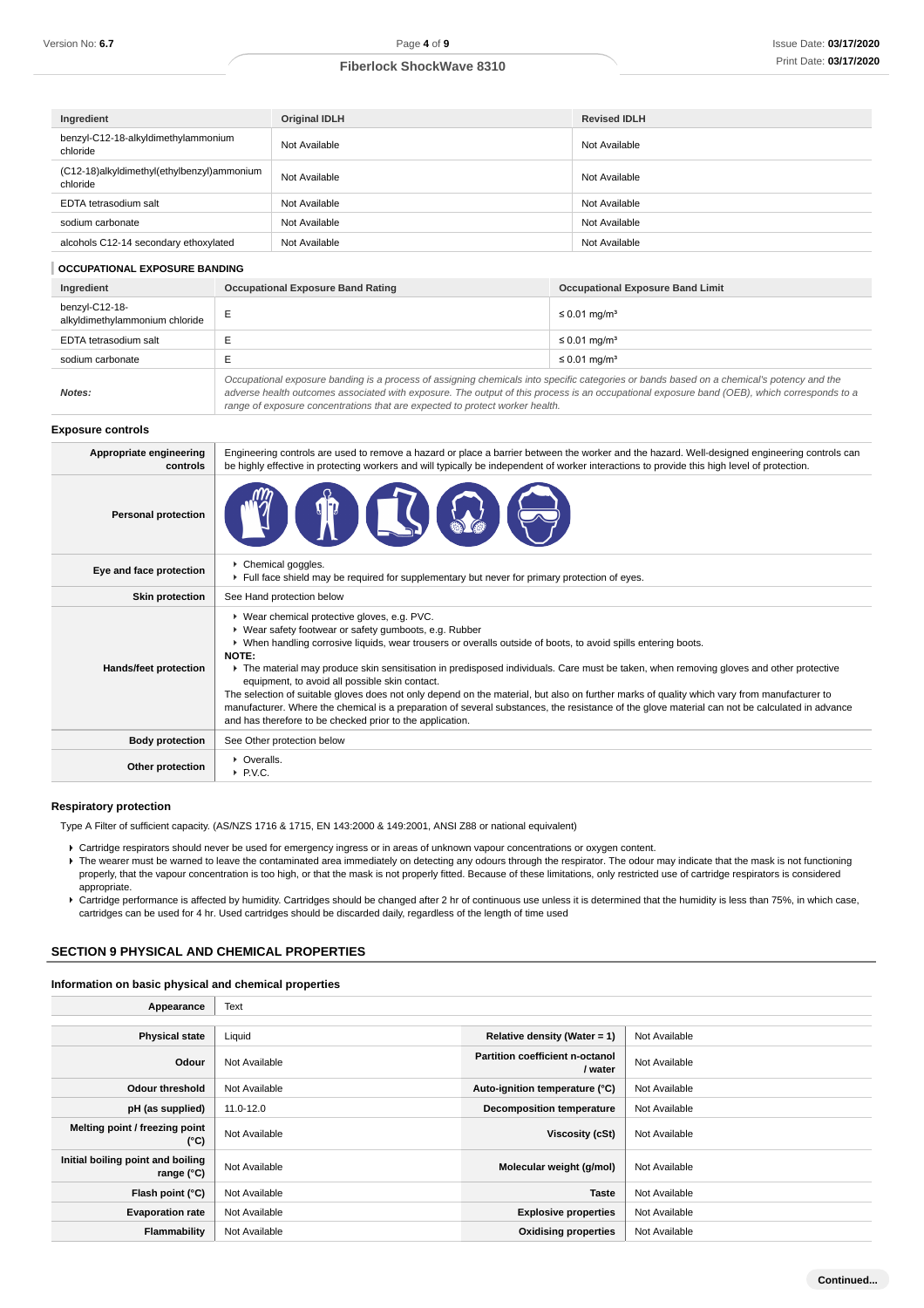| Ingredient                                             | <b>Original IDLH</b> | <b>Revised IDLH</b> |
|--------------------------------------------------------|----------------------|---------------------|
| benzyl-C12-18-alkyldimethylammonium<br>chloride        | Not Available        | Not Available       |
| (C12-18)alkyldimethyl(ethylbenzyl)ammonium<br>chloride | Not Available        | Not Available       |
| EDTA tetrasodium salt                                  | Not Available        | Not Available       |
| sodium carbonate                                       | Not Available        | Not Available       |
| alcohols C12-14 secondary ethoxylated                  | Not Available        | Not Available       |

#### **OCCUPATIONAL EXPOSURE BANDING**

| Ingredient                                       | <b>Occupational Exposure Band Rating</b>                                                                                                                                                                                                                                                 | <b>Occupational Exposure Band Limit</b> |  |
|--------------------------------------------------|------------------------------------------------------------------------------------------------------------------------------------------------------------------------------------------------------------------------------------------------------------------------------------------|-----------------------------------------|--|
| benzyl-C12-18-<br>alkyldimethylammonium chloride |                                                                                                                                                                                                                                                                                          | $\leq 0.01$ mg/m <sup>3</sup>           |  |
| EDTA tetrasodium salt                            |                                                                                                                                                                                                                                                                                          | $\leq 0.01$ mg/m <sup>3</sup>           |  |
| sodium carbonate                                 |                                                                                                                                                                                                                                                                                          | $\leq 0.01$ mg/m <sup>3</sup>           |  |
| Notes:                                           | Occupational exposure banding is a process of assigning chemicals into specific categories or bands based on a chemical's potency and the<br>adverse health outcomes associated with exposure. The output of this process is an occupational exposure band (OEB), which corresponds to a |                                         |  |

range of exposure concentrations that are expected to protect worker health.

#### **Exposure controls**

| Appropriate engineering<br>controls | Engineering controls are used to remove a hazard or place a barrier between the worker and the hazard. Well-designed engineering controls can<br>be highly effective in protecting workers and will typically be independent of worker interactions to provide this high level of protection.                                                                                                                                                                                                                                                                                                                                                                                                                                                                                                       |
|-------------------------------------|-----------------------------------------------------------------------------------------------------------------------------------------------------------------------------------------------------------------------------------------------------------------------------------------------------------------------------------------------------------------------------------------------------------------------------------------------------------------------------------------------------------------------------------------------------------------------------------------------------------------------------------------------------------------------------------------------------------------------------------------------------------------------------------------------------|
| <b>Personal protection</b>          |                                                                                                                                                                                                                                                                                                                                                                                                                                                                                                                                                                                                                                                                                                                                                                                                     |
| Eye and face protection             | Chemical goggles.<br>Full face shield may be required for supplementary but never for primary protection of eyes.                                                                                                                                                                                                                                                                                                                                                                                                                                                                                                                                                                                                                                                                                   |
| <b>Skin protection</b>              | See Hand protection below                                                                                                                                                                                                                                                                                                                                                                                                                                                                                                                                                                                                                                                                                                                                                                           |
| Hands/feet protection               | ▶ Wear chemical protective gloves, e.g. PVC.<br>▶ Wear safety footwear or safety gumboots, e.g. Rubber<br>▶ When handling corrosive liquids, wear trousers or overalls outside of boots, to avoid spills entering boots.<br><b>NOTE:</b><br>• The material may produce skin sensitisation in predisposed individuals. Care must be taken, when removing gloves and other protective<br>equipment, to avoid all possible skin contact.<br>The selection of suitable gloves does not only depend on the material, but also on further marks of quality which vary from manufacturer to<br>manufacturer. Where the chemical is a preparation of several substances, the resistance of the glove material can not be calculated in advance<br>and has therefore to be checked prior to the application. |
| <b>Body protection</b>              | See Other protection below                                                                                                                                                                                                                                                                                                                                                                                                                                                                                                                                                                                                                                                                                                                                                                          |
| Other protection                    | • Overalls.<br>$\triangleright$ P.V.C.                                                                                                                                                                                                                                                                                                                                                                                                                                                                                                                                                                                                                                                                                                                                                              |

## **Respiratory protection**

Type A Filter of sufficient capacity. (AS/NZS 1716 & 1715, EN 143:2000 & 149:2001, ANSI Z88 or national equivalent)

- Cartridge respirators should never be used for emergency ingress or in areas of unknown vapour concentrations or oxygen content.
- F The wearer must be warned to leave the contaminated area immediately on detecting any odours through the respirator. The odour may indicate that the mask is not functioning properly, that the vapour concentration is too high, or that the mask is not properly fitted. Because of these limitations, only restricted use of cartridge respirators is considered appropriate.
- Cartridge performance is affected by humidity. Cartridges should be changed after 2 hr of continuous use unless it is determined that the humidity is less than 75%, in which case, cartridges can be used for 4 hr. Used cartridges should be discarded daily, regardless of the length of time used

## **SECTION 9 PHYSICAL AND CHEMICAL PROPERTIES**

#### **Information on basic physical and chemical properties**

| Appearance                                      | Text          |                                                   |               |
|-------------------------------------------------|---------------|---------------------------------------------------|---------------|
|                                                 |               |                                                   |               |
| <b>Physical state</b>                           | Liquid        | Relative density (Water = 1)                      | Not Available |
| Odour                                           | Not Available | <b>Partition coefficient n-octanol</b><br>/ water | Not Available |
| <b>Odour threshold</b>                          | Not Available | Auto-ignition temperature (°C)                    | Not Available |
| pH (as supplied)                                | 11.0-12.0     | <b>Decomposition temperature</b>                  | Not Available |
| Melting point / freezing point<br>(°C)          | Not Available | Viscosity (cSt)                                   | Not Available |
| Initial boiling point and boiling<br>range (°C) | Not Available | Molecular weight (g/mol)                          | Not Available |
| Flash point (°C)                                | Not Available | <b>Taste</b>                                      | Not Available |
| <b>Evaporation rate</b>                         | Not Available | <b>Explosive properties</b>                       | Not Available |
| Flammability                                    | Not Available | <b>Oxidising properties</b>                       | Not Available |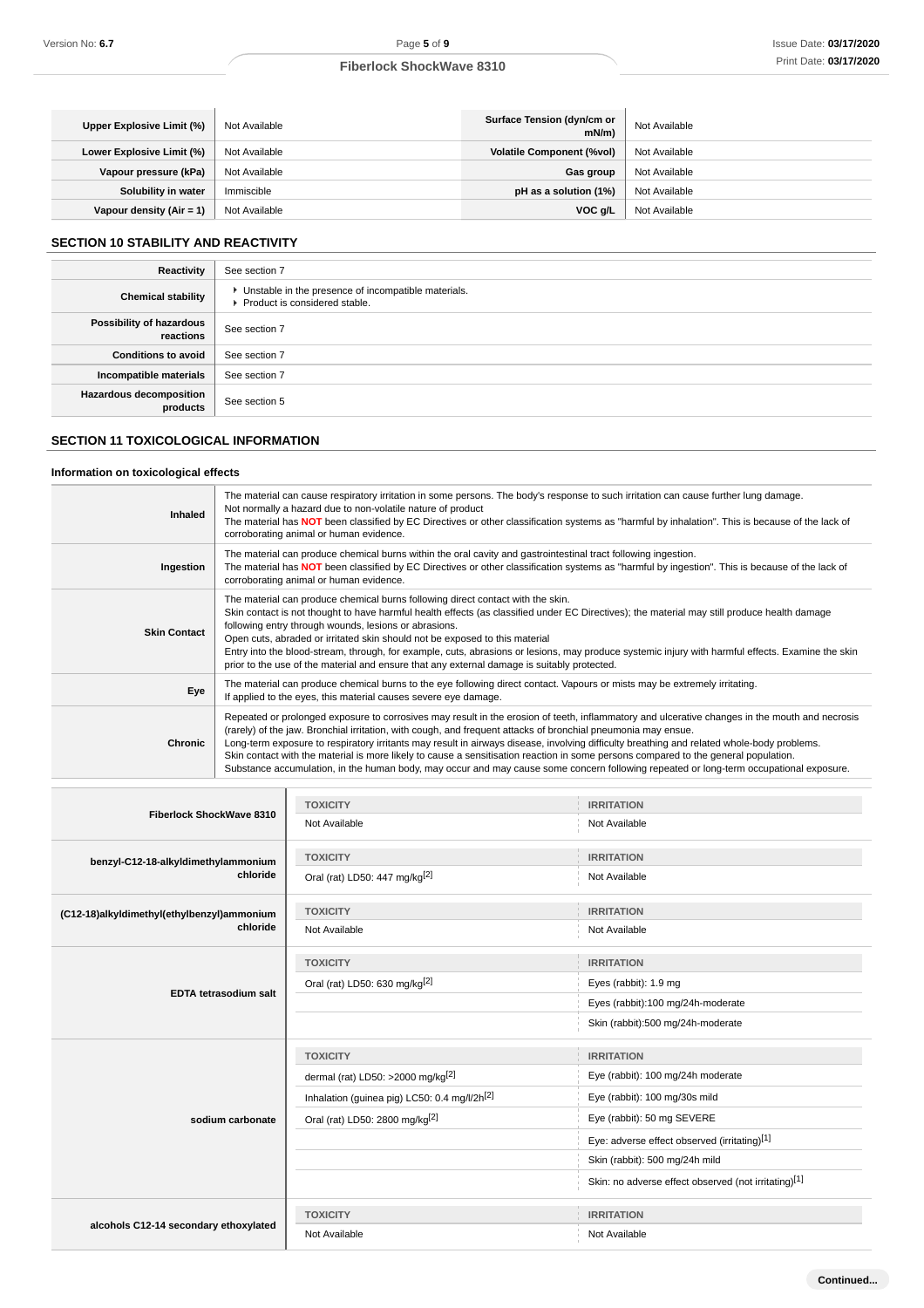| Upper Explosive Limit (%) | Not Available | Surface Tension (dyn/cm or<br>mN/m | Not Available |
|---------------------------|---------------|------------------------------------|---------------|
| Lower Explosive Limit (%) | Not Available | <b>Volatile Component (%vol)</b>   | Not Available |
| Vapour pressure (kPa)     | Not Available | Gas group                          | Not Available |
| Solubility in water       | Immiscible    | pH as a solution (1%)              | Not Available |
| Vapour density (Air = 1)  | Not Available | $VOC$ g/L                          | Not Available |

# **SECTION 10 STABILITY AND REACTIVITY**

| Reactivity                                 | See section 7                                                                            |
|--------------------------------------------|------------------------------------------------------------------------------------------|
| <b>Chemical stability</b>                  | • Unstable in the presence of incompatible materials.<br>▶ Product is considered stable. |
| Possibility of hazardous<br>reactions      | See section 7                                                                            |
| <b>Conditions to avoid</b>                 | See section 7                                                                            |
| Incompatible materials                     | See section 7                                                                            |
| <b>Hazardous decomposition</b><br>products | See section 5                                                                            |

## **SECTION 11 TOXICOLOGICAL INFORMATION**

# **Information on toxicological effects**

| Inhaled             | The material can cause respiratory irritation in some persons. The body's response to such irritation can cause further lung damage.<br>Not normally a hazard due to non-volatile nature of product<br>The material has NOT been classified by EC Directives or other classification systems as "harmful by inhalation". This is because of the lack of<br>corroborating animal or human evidence.                                                                                                                                                                                                                                                                                             |
|---------------------|------------------------------------------------------------------------------------------------------------------------------------------------------------------------------------------------------------------------------------------------------------------------------------------------------------------------------------------------------------------------------------------------------------------------------------------------------------------------------------------------------------------------------------------------------------------------------------------------------------------------------------------------------------------------------------------------|
| Ingestion           | The material can produce chemical burns within the oral cavity and gastrointestinal tract following ingestion.<br>The material has NOT been classified by EC Directives or other classification systems as "harmful by ingestion". This is because of the lack of<br>corroborating animal or human evidence.                                                                                                                                                                                                                                                                                                                                                                                   |
| <b>Skin Contact</b> | The material can produce chemical burns following direct contact with the skin.<br>Skin contact is not thought to have harmful health effects (as classified under EC Directives); the material may still produce health damage<br>following entry through wounds, lesions or abrasions.<br>Open cuts, abraded or irritated skin should not be exposed to this material<br>Entry into the blood-stream, through, for example, cuts, abrasions or lesions, may produce systemic injury with harmful effects. Examine the skin<br>prior to the use of the material and ensure that any external damage is suitably protected.                                                                    |
| Eye                 | The material can produce chemical burns to the eye following direct contact. Vapours or mists may be extremely irritating.<br>If applied to the eyes, this material causes severe eye damage.                                                                                                                                                                                                                                                                                                                                                                                                                                                                                                  |
| Chronic             | Repeated or prolonged exposure to corrosives may result in the erosion of teeth, inflammatory and ulcerative changes in the mouth and necrosis<br>(rarely) of the jaw. Bronchial irritation, with cough, and frequent attacks of bronchial pneumonia may ensue.<br>Long-term exposure to respiratory irritants may result in airways disease, involving difficulty breathing and related whole-body problems.<br>Skin contact with the material is more likely to cause a sensitisation reaction in some persons compared to the general population.<br>Substance accumulation, in the human body, may occur and may cause some concern following repeated or long-term occupational exposure. |

|                                            | <b>TOXICITY</b>                                                                                                                                                                                                                                                                                                                                                     | <b>IRRITATION</b>                                                                                                                                                                                                                                                                                                                                                                                        |
|--------------------------------------------|---------------------------------------------------------------------------------------------------------------------------------------------------------------------------------------------------------------------------------------------------------------------------------------------------------------------------------------------------------------------|----------------------------------------------------------------------------------------------------------------------------------------------------------------------------------------------------------------------------------------------------------------------------------------------------------------------------------------------------------------------------------------------------------|
|                                            | Not Available                                                                                                                                                                                                                                                                                                                                                       | Not Available                                                                                                                                                                                                                                                                                                                                                                                            |
| benzyl-C12-18-alkyldimethylammonium        | <b>TOXICITY</b>                                                                                                                                                                                                                                                                                                                                                     | <b>IRRITATION</b>                                                                                                                                                                                                                                                                                                                                                                                        |
| chloride                                   | Oral (rat) LD50: 447 mg/kg[2]                                                                                                                                                                                                                                                                                                                                       | Not Available                                                                                                                                                                                                                                                                                                                                                                                            |
| (C12-18)alkyldimethyl(ethylbenzyl)ammonium | <b>TOXICITY</b>                                                                                                                                                                                                                                                                                                                                                     | <b>IRRITATION</b>                                                                                                                                                                                                                                                                                                                                                                                        |
| chloride                                   | Fiberlock ShockWave 8310<br>Not Available<br><b>TOXICITY</b><br>Oral (rat) LD50: 630 mg/kg[2]<br><b>EDTA tetrasodium salt</b><br><b>TOXICITY</b><br>dermal (rat) LD50: >2000 mg/kg <sup>[2]</sup><br>Inhalation (guinea pig) LC50: 0.4 mg/l/2h <sup>[2]</sup><br>Oral (rat) LD50: 2800 mg/kg <sup>[2]</sup><br>sodium carbonate<br><b>TOXICITY</b><br>Not Available | Not Available                                                                                                                                                                                                                                                                                                                                                                                            |
|                                            |                                                                                                                                                                                                                                                                                                                                                                     | <b>IRRITATION</b>                                                                                                                                                                                                                                                                                                                                                                                        |
|                                            |                                                                                                                                                                                                                                                                                                                                                                     | Eyes (rabbit): 1.9 mg<br>Eyes (rabbit):100 mg/24h-moderate<br>Skin (rabbit):500 mg/24h-moderate<br><b>IRRITATION</b><br>Eye (rabbit): 100 mg/24h moderate<br>Eye (rabbit): 100 mg/30s mild<br>Eye (rabbit): 50 mg SEVERE<br>Eye: adverse effect observed (irritating)[1]<br>Skin (rabbit): 500 mg/24h mild<br>Skin: no adverse effect observed (not irritating)[1]<br><b>IRRITATION</b><br>Not Available |
|                                            |                                                                                                                                                                                                                                                                                                                                                                     |                                                                                                                                                                                                                                                                                                                                                                                                          |
|                                            |                                                                                                                                                                                                                                                                                                                                                                     |                                                                                                                                                                                                                                                                                                                                                                                                          |
|                                            |                                                                                                                                                                                                                                                                                                                                                                     |                                                                                                                                                                                                                                                                                                                                                                                                          |
|                                            |                                                                                                                                                                                                                                                                                                                                                                     |                                                                                                                                                                                                                                                                                                                                                                                                          |
|                                            |                                                                                                                                                                                                                                                                                                                                                                     |                                                                                                                                                                                                                                                                                                                                                                                                          |
|                                            |                                                                                                                                                                                                                                                                                                                                                                     |                                                                                                                                                                                                                                                                                                                                                                                                          |
|                                            |                                                                                                                                                                                                                                                                                                                                                                     |                                                                                                                                                                                                                                                                                                                                                                                                          |
|                                            |                                                                                                                                                                                                                                                                                                                                                                     |                                                                                                                                                                                                                                                                                                                                                                                                          |
|                                            |                                                                                                                                                                                                                                                                                                                                                                     |                                                                                                                                                                                                                                                                                                                                                                                                          |
|                                            |                                                                                                                                                                                                                                                                                                                                                                     |                                                                                                                                                                                                                                                                                                                                                                                                          |
| alcohols C12-14 secondary ethoxylated      |                                                                                                                                                                                                                                                                                                                                                                     |                                                                                                                                                                                                                                                                                                                                                                                                          |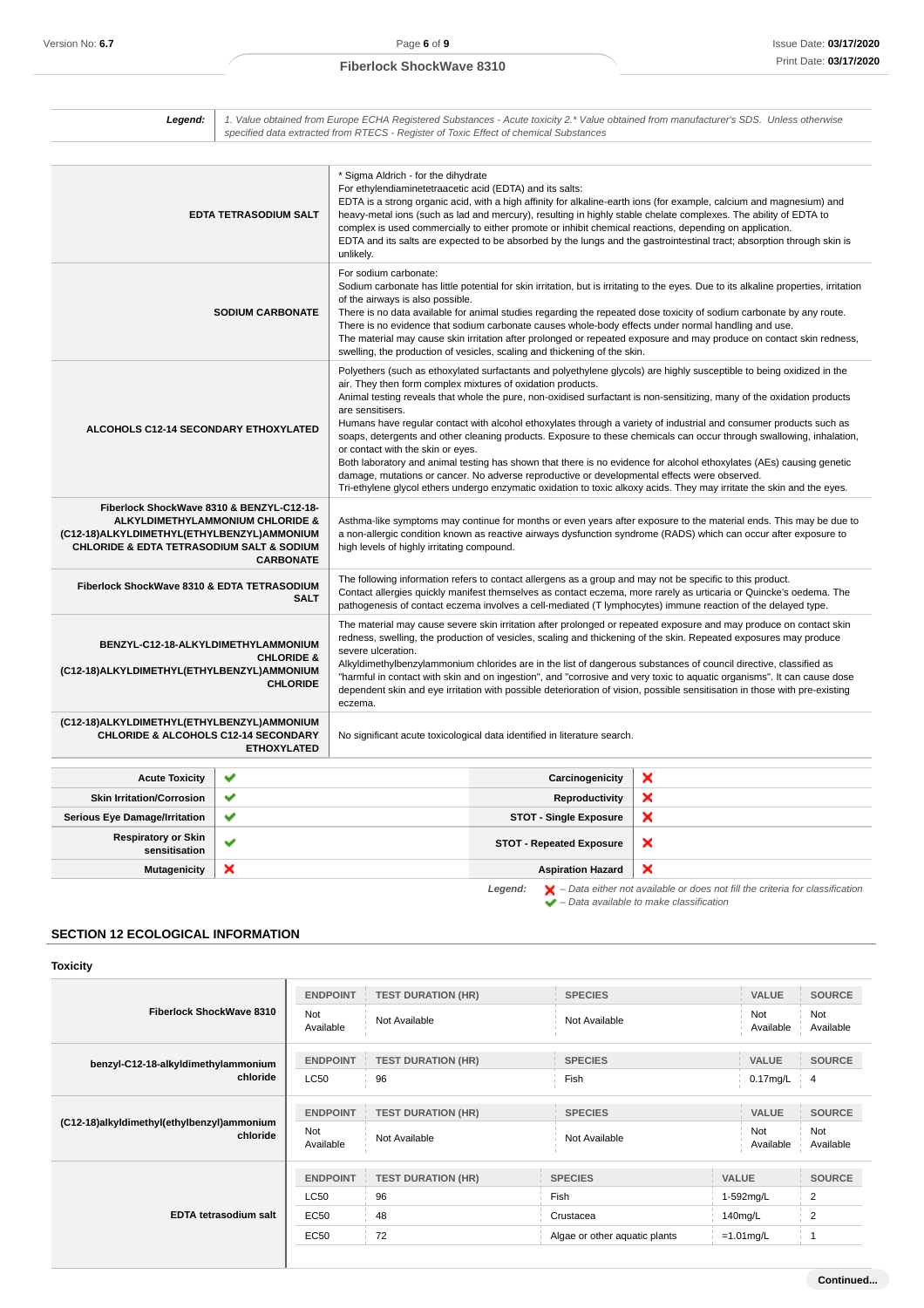| Legend:                                                                                                                                             |                                                      | specified data extracted from RTECS - Register of Toxic Effect of chemical Substances                                                                                                                                                                                                                                                                                                                                                                                                                                                                                                                                                                  |                                                                                                                                                                                  | 1. Value obtained from Europe ECHA Registered Substances - Acute toxicity 2.* Value obtained from manufacturer's SDS. Unless otherwise                                                                                                                                                                                                                                                                                                                                                                                                                                                                                                                                                                                                          |
|-----------------------------------------------------------------------------------------------------------------------------------------------------|------------------------------------------------------|--------------------------------------------------------------------------------------------------------------------------------------------------------------------------------------------------------------------------------------------------------------------------------------------------------------------------------------------------------------------------------------------------------------------------------------------------------------------------------------------------------------------------------------------------------------------------------------------------------------------------------------------------------|----------------------------------------------------------------------------------------------------------------------------------------------------------------------------------|-------------------------------------------------------------------------------------------------------------------------------------------------------------------------------------------------------------------------------------------------------------------------------------------------------------------------------------------------------------------------------------------------------------------------------------------------------------------------------------------------------------------------------------------------------------------------------------------------------------------------------------------------------------------------------------------------------------------------------------------------|
|                                                                                                                                                     | <b>EDTA TETRASODIUM SALT</b>                         | * Sigma Aldrich - for the dihydrate<br>For ethylendiaminetetraacetic acid (EDTA) and its salts:<br>unlikelv.                                                                                                                                                                                                                                                                                                                                                                                                                                                                                                                                           | complex is used commercially to either promote or inhibit chemical reactions, depending on application.                                                                          | EDTA is a strong organic acid, with a high affinity for alkaline-earth ions (for example, calcium and magnesium) and<br>heavy-metal ions (such as lad and mercury), resulting in highly stable chelate complexes. The ability of EDTA to<br>EDTA and its salts are expected to be absorbed by the lungs and the gastrointestinal tract; absorption through skin is                                                                                                                                                                                                                                                                                                                                                                              |
|                                                                                                                                                     | <b>SODIUM CARBONATE</b>                              | For sodium carbonate:<br>of the airways is also possible.                                                                                                                                                                                                                                                                                                                                                                                                                                                                                                                                                                                              | There is no evidence that sodium carbonate causes whole-body effects under normal handling and use.<br>swelling, the production of vesicles, scaling and thickening of the skin. | Sodium carbonate has little potential for skin irritation, but is irritating to the eyes. Due to its alkaline properties, irritation<br>There is no data available for animal studies regarding the repeated dose toxicity of sodium carbonate by any route.<br>The material may cause skin irritation after prolonged or repeated exposure and may produce on contact skin redness,                                                                                                                                                                                                                                                                                                                                                            |
| ALCOHOLS C12-14 SECONDARY ETHOXYLATED                                                                                                               |                                                      | air. They then form complex mixtures of oxidation products.<br>are sensitisers.<br>or contact with the skin or eyes.                                                                                                                                                                                                                                                                                                                                                                                                                                                                                                                                   | damage, mutations or cancer. No adverse reproductive or developmental effects were observed.                                                                                     | Polyethers (such as ethoxylated surfactants and polyethylene glycols) are highly susceptible to being oxidized in the<br>Animal testing reveals that whole the pure, non-oxidised surfactant is non-sensitizing, many of the oxidation products<br>Humans have regular contact with alcohol ethoxylates through a variety of industrial and consumer products such as<br>soaps, detergents and other cleaning products. Exposure to these chemicals can occur through swallowing, inhalation,<br>Both laboratory and animal testing has shown that there is no evidence for alcohol ethoxylates (AEs) causing genetic<br>Tri-ethylene glycol ethers undergo enzymatic oxidation to toxic alkoxy acids. They may irritate the skin and the eyes. |
| Fiberlock ShockWave 8310 & BENZYL-C12-18-<br>(C12-18)ALKYLDIMETHYL(ETHYLBENZYL)AMMONIUM<br><b>CHLORIDE &amp; EDTA TETRASODIUM SALT &amp; SODIUM</b> | ALKYLDIMETHYLAMMONIUM CHLORIDE &<br><b>CARBONATE</b> | high levels of highly irritating compound.                                                                                                                                                                                                                                                                                                                                                                                                                                                                                                                                                                                                             |                                                                                                                                                                                  | Asthma-like symptoms may continue for months or even years after exposure to the material ends. This may be due to<br>a non-allergic condition known as reactive airways dysfunction syndrome (RADS) which can occur after exposure to                                                                                                                                                                                                                                                                                                                                                                                                                                                                                                          |
| Fiberlock ShockWave 8310 & EDTA TETRASODIUM                                                                                                         | <b>SALT</b>                                          |                                                                                                                                                                                                                                                                                                                                                                                                                                                                                                                                                                                                                                                        | The following information refers to contact allergens as a group and may not be specific to this product.                                                                        | Contact allergies quickly manifest themselves as contact eczema, more rarely as urticaria or Quincke's oedema. The<br>pathogenesis of contact eczema involves a cell-mediated (T lymphocytes) immune reaction of the delayed type.                                                                                                                                                                                                                                                                                                                                                                                                                                                                                                              |
| BENZYL-C12-18-ALKYLDIMETHYLAMMONIUM<br><b>CHLORIDE &amp;</b><br>(C12-18)ALKYLDIMETHYL(ETHYLBENZYL)AMMONIUM<br><b>CHLORIDE</b>                       |                                                      | The material may cause severe skin irritation after prolonged or repeated exposure and may produce on contact skin<br>redness, swelling, the production of vesicles, scaling and thickening of the skin. Repeated exposures may produce<br>severe ulceration.<br>Alkyldimethylbenzylammonium chlorides are in the list of dangerous substances of council directive, classified as<br>"harmful in contact with skin and on ingestion", and "corrosive and very toxic to aquatic organisms". It can cause dose<br>dependent skin and eye irritation with possible deterioration of vision, possible sensitisation in those with pre-existing<br>eczema. |                                                                                                                                                                                  |                                                                                                                                                                                                                                                                                                                                                                                                                                                                                                                                                                                                                                                                                                                                                 |
| (C12-18)ALKYLDIMETHYL(ETHYLBENZYL)AMMONIUM<br><b>CHLORIDE &amp; ALCOHOLS C12-14 SECONDARY</b>                                                       | <b>ETHOXYLATED</b>                                   |                                                                                                                                                                                                                                                                                                                                                                                                                                                                                                                                                                                                                                                        | No significant acute toxicological data identified in literature search.                                                                                                         |                                                                                                                                                                                                                                                                                                                                                                                                                                                                                                                                                                                                                                                                                                                                                 |
| <b>Acute Toxicity</b>                                                                                                                               | ✔                                                    |                                                                                                                                                                                                                                                                                                                                                                                                                                                                                                                                                                                                                                                        | Carcinogenicity                                                                                                                                                                  | ×                                                                                                                                                                                                                                                                                                                                                                                                                                                                                                                                                                                                                                                                                                                                               |
| <b>Skin Irritation/Corrosion</b>                                                                                                                    | Ý                                                    |                                                                                                                                                                                                                                                                                                                                                                                                                                                                                                                                                                                                                                                        | Reproductivity                                                                                                                                                                   | ×                                                                                                                                                                                                                                                                                                                                                                                                                                                                                                                                                                                                                                                                                                                                               |
| <b>Serious Eye Damage/Irritation</b>                                                                                                                | ✔                                                    |                                                                                                                                                                                                                                                                                                                                                                                                                                                                                                                                                                                                                                                        | <b>STOT - Single Exposure</b>                                                                                                                                                    | ×                                                                                                                                                                                                                                                                                                                                                                                                                                                                                                                                                                                                                                                                                                                                               |
| <b>Respiratory or Skin</b><br>sensitisation                                                                                                         |                                                      |                                                                                                                                                                                                                                                                                                                                                                                                                                                                                                                                                                                                                                                        | <b>STOT - Repeated Exposure</b>                                                                                                                                                  | ×                                                                                                                                                                                                                                                                                                                                                                                                                                                                                                                                                                                                                                                                                                                                               |
| <b>Mutagenicity</b>                                                                                                                                 | ×                                                    |                                                                                                                                                                                                                                                                                                                                                                                                                                                                                                                                                                                                                                                        | <b>Aspiration Hazard</b>                                                                                                                                                         | ×                                                                                                                                                                                                                                                                                                                                                                                                                                                                                                                                                                                                                                                                                                                                               |

**Legend:**  $\mathbf{X}$  – Data either not available or does not fill the criteria for classification – Data available to make classification

**Continued...**

# **SECTION 12 ECOLOGICAL INFORMATION**

| <b>Toxicity</b>                                        |                         |                           |                               |                  |                  |
|--------------------------------------------------------|-------------------------|---------------------------|-------------------------------|------------------|------------------|
| Fiberlock ShockWave 8310                               | <b>ENDPOINT</b>         | <b>TEST DURATION (HR)</b> | <b>SPECIES</b>                | <b>VALUE</b>     | <b>SOURCE</b>    |
|                                                        | Not<br>Available        | Not Available             | Not Available                 | Not<br>Available | Not<br>Available |
| benzyl-C12-18-alkyldimethylammonium                    | <b>ENDPOINT</b>         | <b>TEST DURATION (HR)</b> | <b>SPECIES</b>                | <b>VALUE</b>     | <b>SOURCE</b>    |
| chloride                                               | <b>LC50</b>             | 96                        | Fish                          | $0.17$ mg/L $4$  |                  |
| (C12-18)alkyldimethyl(ethylbenzyl)ammonium<br>chloride | <b>ENDPOINT</b>         | <b>TEST DURATION (HR)</b> | <b>SPECIES</b>                | <b>VALUE</b>     | <b>SOURCE</b>    |
|                                                        | <b>Not</b><br>Available | Not Available             | Not Available                 | Not<br>Available | Not<br>Available |
|                                                        | <b>ENDPOINT</b>         | <b>TEST DURATION (HR)</b> | <b>SPECIES</b>                | <b>VALUE</b>     | <b>SOURCE</b>    |
|                                                        | <b>LC50</b>             | 96                        | Fish                          | 1-592mg/L        | $\overline{2}$   |
| <b>EDTA tetrasodium salt</b>                           | EC50                    | 48                        | Crustacea                     | $140$ mg/L       | 2                |
|                                                        | <b>EC50</b>             | 72                        | Algae or other aquatic plants | $=1.01$ mg/L     | -1               |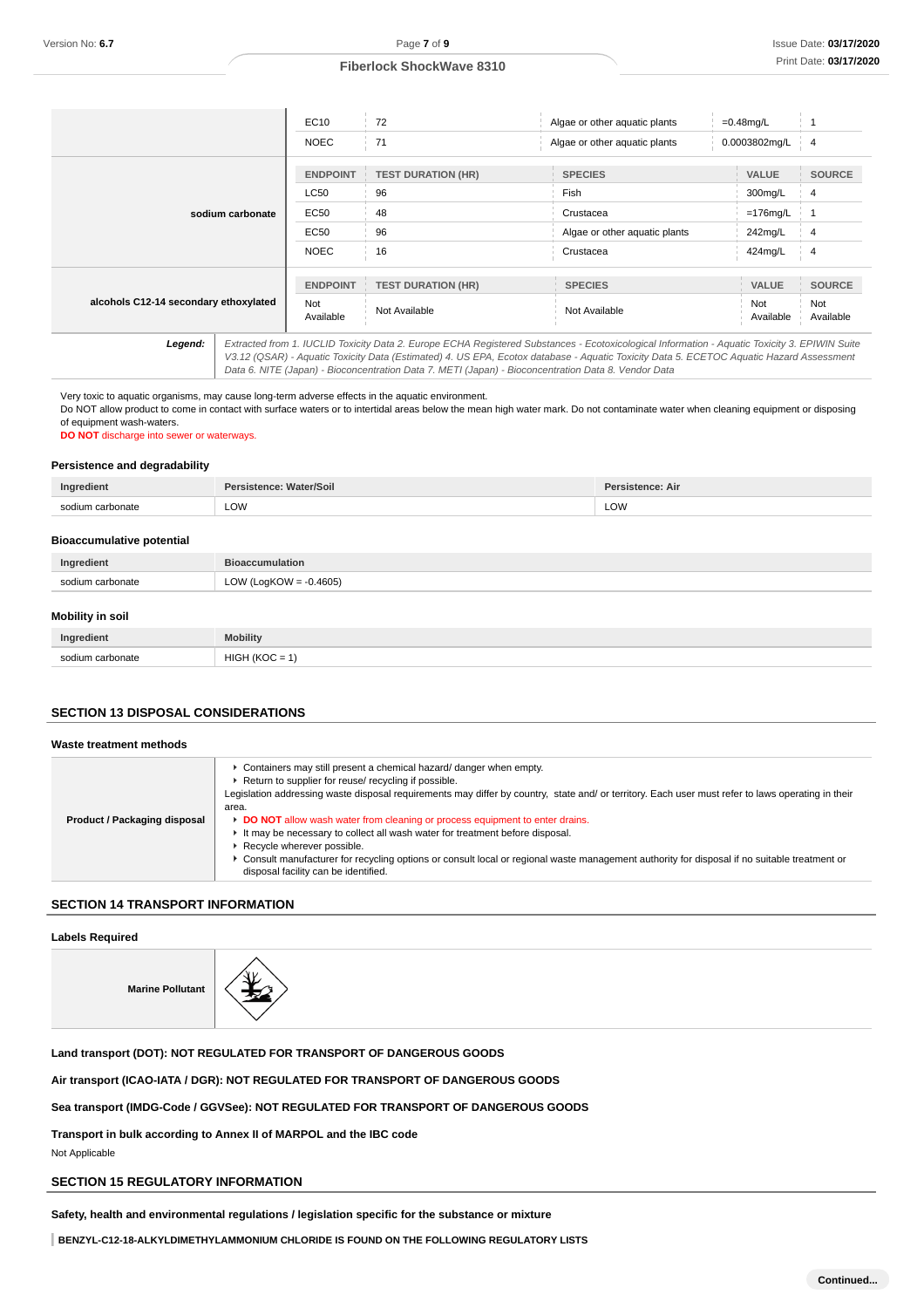|                                       |  | EC10             | 72                        | Algae or other aquatic plants                                                                                                                                                                                                                                                                                                                                                                   | $=0.48$ mg/L     |                  |
|---------------------------------------|--|------------------|---------------------------|-------------------------------------------------------------------------------------------------------------------------------------------------------------------------------------------------------------------------------------------------------------------------------------------------------------------------------------------------------------------------------------------------|------------------|------------------|
|                                       |  | <b>NOEC</b>      | 71                        | Algae or other aquatic plants                                                                                                                                                                                                                                                                                                                                                                   | 0.0003802mg/L    | $\overline{4}$   |
|                                       |  | <b>ENDPOINT</b>  | <b>TEST DURATION (HR)</b> | <b>SPECIES</b>                                                                                                                                                                                                                                                                                                                                                                                  | <b>VALUE</b>     | <b>SOURCE</b>    |
|                                       |  | <b>LC50</b>      | 96                        | Fish                                                                                                                                                                                                                                                                                                                                                                                            | 300mg/L          | 4                |
| sodium carbonate                      |  | <b>EC50</b>      | 48                        | Crustacea                                                                                                                                                                                                                                                                                                                                                                                       | $=176$ mg/L      |                  |
|                                       |  | EC50             | 96                        | Algae or other aquatic plants                                                                                                                                                                                                                                                                                                                                                                   | 242mg/L          | 4                |
|                                       |  | <b>NOEC</b>      | 16                        | Crustacea                                                                                                                                                                                                                                                                                                                                                                                       | 424mg/L          | 4                |
|                                       |  | <b>ENDPOINT</b>  | <b>TEST DURATION (HR)</b> | <b>SPECIES</b>                                                                                                                                                                                                                                                                                                                                                                                  | <b>VALUE</b>     | <b>SOURCE</b>    |
| alcohols C12-14 secondary ethoxylated |  | Not<br>Available | Not Available             | Not Available                                                                                                                                                                                                                                                                                                                                                                                   | Not<br>Available | Not<br>Available |
| Legend:                               |  |                  |                           | Extracted from 1. IUCLID Toxicity Data 2. Europe ECHA Registered Substances - Ecotoxicological Information - Aquatic Toxicity 3. EPIWIN Suite<br>V3.12 (QSAR) - Aquatic Toxicity Data (Estimated) 4. US EPA, Ecotox database - Aquatic Toxicity Data 5. ECETOC Aquatic Hazard Assessment<br>Data 6. NITE (Japan) - Bioconcentration Data 7. METI (Japan) - Bioconcentration Data 8. Vendor Data |                  |                  |

Very toxic to aquatic organisms, may cause long-term adverse effects in the aquatic environment. Do NOT allow product to come in contact with surface waters or to intertidal areas below the mean high water mark. Do not contaminate water when cleaning equipment or disposing

of equipment wash-waters.

**DO NOT** discharge into sewer or waterways.

#### **Persistence and degradability**

| Ind    |     |     |
|--------|-----|-----|
| $\sim$ | LOW | LOW |
|        |     |     |

#### **Bioaccumulative potential**

| LOW (LogKOW = $-0.4605$ )<br>sodium carbonate |  |
|-----------------------------------------------|--|

#### **Mobility in soil**

| Ingredient       | <b>Mobility</b>         |
|------------------|-------------------------|
| sodium carbonate | HIGH<br>1/1/2<br>$\sim$ |

#### **SECTION 13 DISPOSAL CONSIDERATIONS**

# **Waste treatment methods**

| ► Containers may still present a chemical hazard/ danger when empty.<br>▶ Return to supplier for reuse/ recycling if possible.<br>Legislation addressing waste disposal requirements may differ by country, state and/ or territory. Each user must refer to laws operating in their<br>area.<br>► DO NOT allow wash water from cleaning or process equipment to enter drains.<br>Product / Packaging disposal<br>It may be necessary to collect all wash water for treatment before disposal.<br>▶ Recycle wherever possible.<br>▶ Consult manufacturer for recycling options or consult local or regional waste management authority for disposal if no suitable treatment or<br>disposal facility can be identified. |
|-------------------------------------------------------------------------------------------------------------------------------------------------------------------------------------------------------------------------------------------------------------------------------------------------------------------------------------------------------------------------------------------------------------------------------------------------------------------------------------------------------------------------------------------------------------------------------------------------------------------------------------------------------------------------------------------------------------------------|
|-------------------------------------------------------------------------------------------------------------------------------------------------------------------------------------------------------------------------------------------------------------------------------------------------------------------------------------------------------------------------------------------------------------------------------------------------------------------------------------------------------------------------------------------------------------------------------------------------------------------------------------------------------------------------------------------------------------------------|

## **SECTION 14 TRANSPORT INFORMATION**

## **Labels Required**

**Marine Pollutant**



**Land transport (DOT): NOT REGULATED FOR TRANSPORT OF DANGEROUS GOODS**

**Air transport (ICAO-IATA / DGR): NOT REGULATED FOR TRANSPORT OF DANGEROUS GOODS**

**Sea transport (IMDG-Code / GGVSee): NOT REGULATED FOR TRANSPORT OF DANGEROUS GOODS**

**Transport in bulk according to Annex II of MARPOL and the IBC code** Not Applicable

#### **SECTION 15 REGULATORY INFORMATION**

**Safety, health and environmental regulations / legislation specific for the substance or mixture**

**BENZYL-C12-18-ALKYLDIMETHYLAMMONIUM CHLORIDE IS FOUND ON THE FOLLOWING REGULATORY LISTS**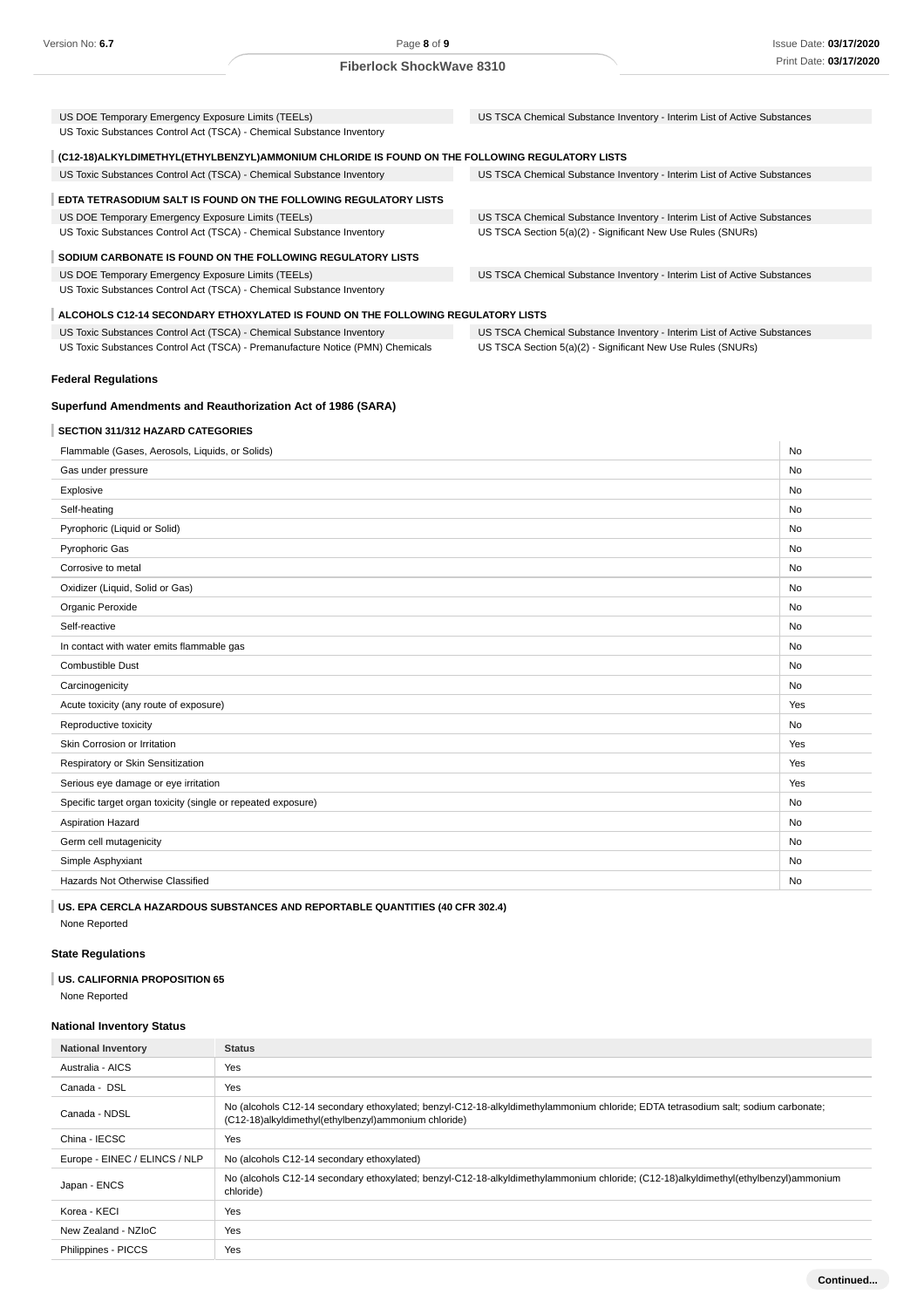| US DOE Temporary Emergency Exposure Limits (TEELs)                                                                          | US TSCA Chemical Substance Inventory - Interim List of Active Substances |           |
|-----------------------------------------------------------------------------------------------------------------------------|--------------------------------------------------------------------------|-----------|
| US Toxic Substances Control Act (TSCA) - Chemical Substance Inventory                                                       |                                                                          |           |
| (C12-18) ALKYLDIMETHYL (ETHYLBENZYL) AMMONIUM CHLORIDE IS FOUND ON THE FOLLOWING REGULATORY LISTS                           |                                                                          |           |
| US Toxic Substances Control Act (TSCA) - Chemical Substance Inventory                                                       | US TSCA Chemical Substance Inventory - Interim List of Active Substances |           |
| EDTA TETRASODIUM SALT IS FOUND ON THE FOLLOWING REGULATORY LISTS                                                            |                                                                          |           |
| US DOE Temporary Emergency Exposure Limits (TEELs)                                                                          | US TSCA Chemical Substance Inventory - Interim List of Active Substances |           |
| US Toxic Substances Control Act (TSCA) - Chemical Substance Inventory                                                       | US TSCA Section 5(a)(2) - Significant New Use Rules (SNURs)              |           |
| SODIUM CARBONATE IS FOUND ON THE FOLLOWING REGULATORY LISTS                                                                 |                                                                          |           |
|                                                                                                                             |                                                                          |           |
| US DOE Temporary Emergency Exposure Limits (TEELs)<br>US Toxic Substances Control Act (TSCA) - Chemical Substance Inventory | US TSCA Chemical Substance Inventory - Interim List of Active Substances |           |
| ALCOHOLS C12-14 SECONDARY ETHOXYLATED IS FOUND ON THE FOLLOWING REGULATORY LISTS                                            |                                                                          |           |
| US Toxic Substances Control Act (TSCA) - Chemical Substance Inventory                                                       | US TSCA Chemical Substance Inventory - Interim List of Active Substances |           |
| US Toxic Substances Control Act (TSCA) - Premanufacture Notice (PMN) Chemicals                                              | US TSCA Section 5(a)(2) - Significant New Use Rules (SNURs)              |           |
| <b>Federal Regulations</b>                                                                                                  |                                                                          |           |
|                                                                                                                             |                                                                          |           |
| Superfund Amendments and Reauthorization Act of 1986 (SARA)                                                                 |                                                                          |           |
| <b>SECTION 311/312 HAZARD CATEGORIES</b>                                                                                    |                                                                          |           |
| Flammable (Gases, Aerosols, Liquids, or Solids)                                                                             |                                                                          | No        |
| Gas under pressure                                                                                                          |                                                                          | No        |
| Explosive                                                                                                                   |                                                                          | <b>No</b> |
| Self-heating                                                                                                                |                                                                          | <b>No</b> |
| Pyrophoric (Liquid or Solid)                                                                                                |                                                                          | No        |
| Pyrophoric Gas                                                                                                              |                                                                          | No        |
| Corrosive to metal                                                                                                          |                                                                          | No        |
| Oxidizer (Liquid, Solid or Gas)                                                                                             |                                                                          | No        |
| Organic Peroxide                                                                                                            |                                                                          | <b>No</b> |
| Self-reactive                                                                                                               |                                                                          | No        |
| In contact with water emits flammable gas                                                                                   |                                                                          | <b>No</b> |
| Combustible Dust                                                                                                            |                                                                          | No        |
| Carcinogenicity                                                                                                             |                                                                          | No        |
| Acute toxicity (any route of exposure)                                                                                      |                                                                          | Yes       |
| Reproductive toxicity                                                                                                       |                                                                          | <b>No</b> |
| Skin Corrosion or Irritation                                                                                                |                                                                          | Yes       |
| Respiratory or Skin Sensitization                                                                                           |                                                                          | Yes       |
| Serious eye damage or eye irritation                                                                                        |                                                                          | Yes       |
| Specific target organ toxicity (single or repeated exposure)                                                                |                                                                          | <b>No</b> |

| opooliio tai got organi toxiony (onigio or ropooloo oxpoolii oy | .  |
|-----------------------------------------------------------------|----|
| Aspiration Hazard                                               | No |
| Germ cell mutagenicity                                          | No |
| Simple Asphyxiant                                               | No |
| Hazards Not Otherwise Classified                                | No |

**US. EPA CERCLA HAZARDOUS SUBSTANCES AND REPORTABLE QUANTITIES (40 CFR 302.4)** None Reported

# **State Regulations**

# **US. CALIFORNIA PROPOSITION 65**

None Reported

# **National Inventory Status**

| <b>National Inventory</b>     | <b>Status</b>                                                                                                                                                                             |
|-------------------------------|-------------------------------------------------------------------------------------------------------------------------------------------------------------------------------------------|
| Australia - AICS              | Yes                                                                                                                                                                                       |
| Canada - DSL                  | Yes                                                                                                                                                                                       |
| Canada - NDSL                 | No (alcohols C12-14 secondary ethoxylated; benzyl-C12-18-alkyldimethylammonium chloride; EDTA tetrasodium salt; sodium carbonate;<br>(C12-18)alkyldimethyl(ethylbenzyl)ammonium chloride) |
| China - IECSC                 | Yes                                                                                                                                                                                       |
| Europe - EINEC / ELINCS / NLP | No (alcohols C12-14 secondary ethoxylated)                                                                                                                                                |
| Japan - ENCS                  | No (alcohols C12-14 secondary ethoxylated; benzyl-C12-18-alkyldimethylammonium chloride; (C12-18)alkyldimethyl(ethylbenzyl)ammonium<br>chloride)                                          |
| Korea - KECI                  | Yes                                                                                                                                                                                       |
| New Zealand - NZIoC           | Yes                                                                                                                                                                                       |
| Philippines - PICCS           | Yes                                                                                                                                                                                       |